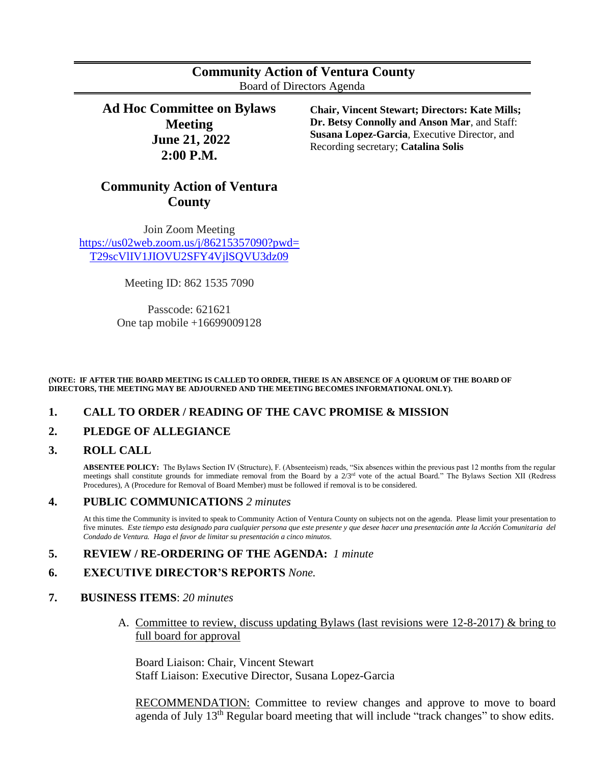| <b>Community Action of Ventura County</b> |  |
|-------------------------------------------|--|
| Board of Directors Agenda                 |  |

**Ad Hoc Committee on Bylaws Meeting June 21, 2022 2:00 P.M.**

**Chair, Vincent Stewart; Directors: Kate Mills; Dr. Betsy Connolly and Anson Mar**, and Staff: **Susana Lopez-Garcia**, Executive Director, and Recording secretary; **Catalina Solis**

# **Community Action of Ventura County**

Join Zoom Meeting [https://us02web.zoom.us/j/86215357090?pwd=](https://nam10.safelinks.protection.outlook.com/?url=https%3A%2F%2Fus02web.zoom.us%2Fj%2F86215357090%3Fpwd%3DT29scVlIV1JIOVU2SFY4VjlSQVU3dz09&data=05%7C01%7Ccsolis%40ca-vc.org%7Ccbeb70ed8e1d44d9e11708da50890313%7Cab49d57c956e443880bf46eb65c7335f%7C0%7C0%7C637910846642268290%7CUnknown%7CTWFpbGZsb3d8eyJWIjoiMC4wLjAwMDAiLCJQIjoiV2luMzIiLCJBTiI6Ik1haWwiLCJXVCI6Mn0%3D%7C3000%7C%7C%7C&sdata=aNPWtOzByyVFLmVdsq3tk%2Bdg%2Bm4J7BB7fuCyec94N7A%3D&reserved=0) [T29scVlIV1JIOVU2SFY4VjlSQVU3dz09](https://nam10.safelinks.protection.outlook.com/?url=https%3A%2F%2Fus02web.zoom.us%2Fj%2F86215357090%3Fpwd%3DT29scVlIV1JIOVU2SFY4VjlSQVU3dz09&data=05%7C01%7Ccsolis%40ca-vc.org%7Ccbeb70ed8e1d44d9e11708da50890313%7Cab49d57c956e443880bf46eb65c7335f%7C0%7C0%7C637910846642268290%7CUnknown%7CTWFpbGZsb3d8eyJWIjoiMC4wLjAwMDAiLCJQIjoiV2luMzIiLCJBTiI6Ik1haWwiLCJXVCI6Mn0%3D%7C3000%7C%7C%7C&sdata=aNPWtOzByyVFLmVdsq3tk%2Bdg%2Bm4J7BB7fuCyec94N7A%3D&reserved=0)

Meeting ID: 862 1535 7090

Passcode: 621621 One tap mobile +16699009128

#### **(NOTE: IF AFTER THE BOARD MEETING IS CALLED TO ORDER, THERE IS AN ABSENCE OF A QUORUM OF THE BOARD OF DIRECTORS, THE MEETING MAY BE ADJOURNED AND THE MEETING BECOMES INFORMATIONAL ONLY).**

# **1. CALL TO ORDER / READING OF THE CAVC PROMISE & MISSION**

# **2. PLEDGE OF ALLEGIANCE**

#### **3. ROLL CALL**

**ABSENTEE POLICY:** The Bylaws Section IV (Structure), F. (Absenteeism) reads, "Six absences within the previous past 12 months from the regular meetings shall constitute grounds for immediate removal from the Board by a  $2/3<sup>rd</sup>$  vote of the actual Board." The Bylaws Section XII (Redress Procedures), A (Procedure for Removal of Board Member) must be followed if removal is to be considered.

# **4. PUBLIC COMMUNICATIONS** *2 minutes*

At this time the Community is invited to speak to Community Action of Ventura County on subjects not on the agenda. Please limit your presentation to five minutes. *Este tiempo esta designado para cualquier persona que este presente y que desee hacer una presentación ante la Acción Comunitaria del Condado de Ventura. Haga el favor de limitar su presentación a cinco minutos.*

# **5. REVIEW / RE-ORDERING OF THE AGENDA:** *1 minute*

#### **6. EXECUTIVE DIRECTOR'S REPORTS** *None.*

#### **7. BUSINESS ITEMS**: *20 minutes*

A. Committee to review, discuss updating Bylaws (last revisions were 12-8-2017) & bring to full board for approval

Board Liaison: Chair, Vincent Stewart Staff Liaison: Executive Director, Susana Lopez-Garcia

RECOMMENDATION: Committee to review changes and approve to move to board agenda of July 13<sup>th</sup> Regular board meeting that will include "track changes" to show edits.